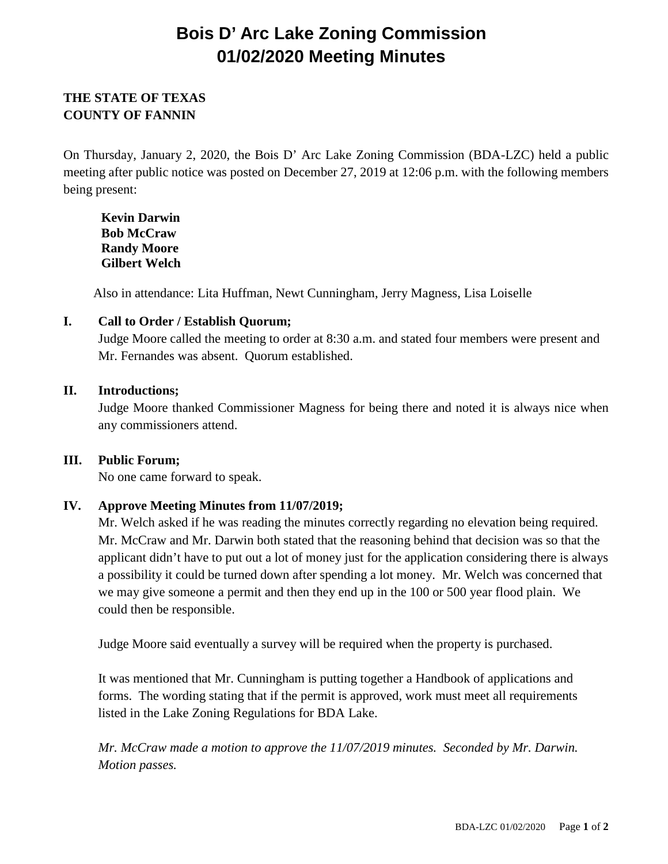# **Bois D' Arc Lake Zoning Commission 01/02/2020 Meeting Minutes**

# **THE STATE OF TEXAS COUNTY OF FANNIN**

On Thursday, January 2, 2020, the Bois D' Arc Lake Zoning Commission (BDA-LZC) held a public meeting after public notice was posted on December 27, 2019 at 12:06 p.m. with the following members being present:

**Kevin Darwin Bob McCraw Randy Moore Gilbert Welch**

Also in attendance: Lita Huffman, Newt Cunningham, Jerry Magness, Lisa Loiselle

## **I. Call to Order / Establish Quorum;**

Judge Moore called the meeting to order at 8:30 a.m. and stated four members were present and Mr. Fernandes was absent. Quorum established.

## **II. Introductions;**

Judge Moore thanked Commissioner Magness for being there and noted it is always nice when any commissioners attend.

## **III. Public Forum;**

No one came forward to speak.

## **IV. Approve Meeting Minutes from 11/07/2019;**

Mr. Welch asked if he was reading the minutes correctly regarding no elevation being required. Mr. McCraw and Mr. Darwin both stated that the reasoning behind that decision was so that the applicant didn't have to put out a lot of money just for the application considering there is always a possibility it could be turned down after spending a lot money. Mr. Welch was concerned that we may give someone a permit and then they end up in the 100 or 500 year flood plain. We could then be responsible.

Judge Moore said eventually a survey will be required when the property is purchased.

It was mentioned that Mr. Cunningham is putting together a Handbook of applications and forms. The wording stating that if the permit is approved, work must meet all requirements listed in the Lake Zoning Regulations for BDA Lake.

*Mr. McCraw made a motion to approve the 11/07/2019 minutes. Seconded by Mr. Darwin. Motion passes.*